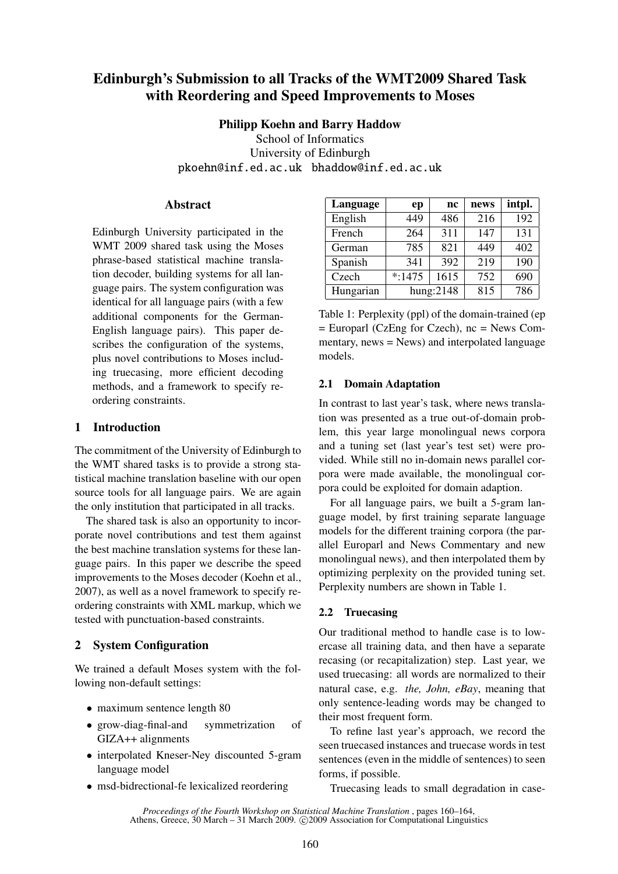# Edinburgh's Submission to all Tracks of the WMT2009 Shared Task with Reordering and Speed Improvements to Moses

### Philipp Koehn and Barry Haddow

School of Informatics University of Edinburgh pkoehn@inf.ed.ac.uk bhaddow@inf.ed.ac.uk

### Abstract

Edinburgh University participated in the WMT 2009 shared task using the Moses phrase-based statistical machine translation decoder, building systems for all language pairs. The system configuration was identical for all language pairs (with a few additional components for the German-English language pairs). This paper describes the configuration of the systems, plus novel contributions to Moses including truecasing, more efficient decoding methods, and a framework to specify reordering constraints.

# 1 Introduction

The commitment of the University of Edinburgh to the WMT shared tasks is to provide a strong statistical machine translation baseline with our open source tools for all language pairs. We are again the only institution that participated in all tracks.

The shared task is also an opportunity to incorporate novel contributions and test them against the best machine translation systems for these language pairs. In this paper we describe the speed improvements to the Moses decoder (Koehn et al., 2007), as well as a novel framework to specify reordering constraints with XML markup, which we tested with punctuation-based constraints.

# 2 System Configuration

We trained a default Moses system with the following non-default settings:

- maximum sentence length 80
- grow-diag-final-and symmetrization of GIZA++ alignments
- interpolated Kneser-Ney discounted 5-gram language model
- msd-bidrectional-fe lexicalized reordering

| Language  | ep       | nc           | news | intpl. |
|-----------|----------|--------------|------|--------|
| English   | 449      | 486          | 216  | 192    |
| French    | 264      | 311          | 147  | 131    |
| German    | 785      | 821          | 449  | 402    |
| Spanish   | 341      | 392          | 219  | 190    |
| Czech     | $*:1475$ | 1615         | 752  | 690    |
| Hungarian |          | hung: $2148$ | 815  | 786    |

Table 1: Perplexity (ppl) of the domain-trained (ep  $=$  Europarl (CzEng for Czech), nc  $=$  News Commentary, news = News) and interpolated language models.

## 2.1 Domain Adaptation

In contrast to last year's task, where news translation was presented as a true out-of-domain problem, this year large monolingual news corpora and a tuning set (last year's test set) were provided. While still no in-domain news parallel corpora were made available, the monolingual corpora could be exploited for domain adaption.

For all language pairs, we built a 5-gram language model, by first training separate language models for the different training corpora (the parallel Europarl and News Commentary and new monolingual news), and then interpolated them by optimizing perplexity on the provided tuning set. Perplexity numbers are shown in Table 1.

## 2.2 Truecasing

Our traditional method to handle case is to lowercase all training data, and then have a separate recasing (or recapitalization) step. Last year, we used truecasing: all words are normalized to their natural case, e.g. *the, John, eBay*, meaning that only sentence-leading words may be changed to their most frequent form.

To refine last year's approach, we record the seen truecased instances and truecase words in test sentences (even in the middle of sentences) to seen forms, if possible.

Truecasing leads to small degradation in case-

*Proceedings of the Fourth Workshop on Statistical Machine Translation* , pages 160–164, Athens, Greece, 30 March – 31 March 2009. © 2009 Association for Computational Linguistics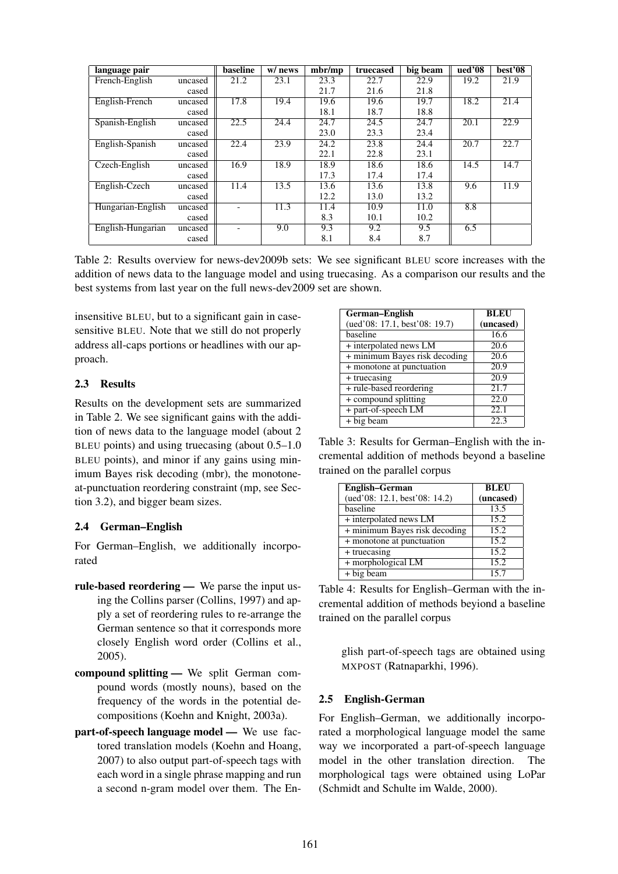| language pair     |         | baseline          | w/ news | $mbr$ /mp | truecased | big beam | $u$ ed'08 | best'08 |
|-------------------|---------|-------------------|---------|-----------|-----------|----------|-----------|---------|
| French-English    | uncased | 21.2              | 23.1    | 23.3      | 22.7      | 22.9     | 19.2      | 21.9    |
|                   | cased   |                   |         | 21.7      | 21.6      | 21.8     |           |         |
| English-French    | uncased | 17.8              | 19.4    | 19.6      | 19.6      | 19.7     | 18.2      | 21.4    |
|                   | cased   |                   |         | 18.1      | 18.7      | 18.8     |           |         |
| Spanish-English   | uncased | $\overline{22.5}$ | 24.4    | 24.7      | 24.5      | 24.7     | 20.1      | 22.9    |
|                   | cased   |                   |         | 23.0      | 23.3      | 23.4     |           |         |
| English-Spanish   | uncased | 22.4              | 23.9    | 24.2      | 23.8      | 24.4     | 20.7      | 22.7    |
|                   | cased   |                   |         | 22.1      | 22.8      | 23.1     |           |         |
| Czech-English     | uncased | 16.9              | 18.9    | 18.9      | 18.6      | 18.6     | 14.5      | 14.7    |
|                   | cased   |                   |         | 17.3      | 17.4      | 17.4     |           |         |
| English-Czech     | uncased | 11.4              | 13.5    | 13.6      | 13.6      | 13.8     | 9.6       | 11.9    |
|                   | cased   |                   |         | 12.2      | 13.0      | 13.2     |           |         |
| Hungarian-English | uncased |                   | 11.3    | 11.4      | 10.9      | 11.0     | 8.8       |         |
|                   | cased   |                   |         | 8.3       | 10.1      | 10.2     |           |         |
| English-Hungarian | uncased |                   | 9.0     | 9.3       | 9.2       | 9.5      | 6.5       |         |
|                   | cased   |                   |         | 8.1       | 8.4       | 8.7      |           |         |

Table 2: Results overview for news-dev2009b sets: We see significant BLEU score increases with the addition of news data to the language model and using truecasing. As a comparison our results and the best systems from last year on the full news-dev2009 set are shown.

insensitive BLEU, but to a significant gain in casesensitive BLEU. Note that we still do not properly address all-caps portions or headlines with our approach.

## 2.3 Results

Results on the development sets are summarized in Table 2. We see significant gains with the addition of news data to the language model (about 2 BLEU points) and using truecasing (about 0.5–1.0 BLEU points), and minor if any gains using minimum Bayes risk decoding (mbr), the monotoneat-punctuation reordering constraint (mp, see Section 3.2), and bigger beam sizes.

# 2.4 German–English

For German–English, we additionally incorporated

- rule-based reordering We parse the input using the Collins parser (Collins, 1997) and apply a set of reordering rules to re-arrange the German sentence so that it corresponds more closely English word order (Collins et al., 2005).
- compound splitting We split German compound words (mostly nouns), based on the frequency of the words in the potential decompositions (Koehn and Knight, 2003a).
- part-of-speech language model We use factored translation models (Koehn and Hoang, 2007) to also output part-of-speech tags with each word in a single phrase mapping and run a second n-gram model over them. The En-

| German-English                | <b>BLEU</b>       |
|-------------------------------|-------------------|
| (ued'08: 17.1, best'08: 19.7) | (uncased)         |
| baseline                      | 16.6              |
| + interpolated news LM        | 20.6              |
| + minimum Bayes risk decoding | $\overline{20.6}$ |
| + monotone at punctuation     | 20.9              |
| + truecasing                  | $\overline{20.9}$ |
| + rule-based reordering       | 21.7              |
| + compound splitting          | 22.0              |
| + part-of-speech LM           | $\overline{22.1}$ |
| $+big$ big beam               | 22.3              |

Table 3: Results for German–English with the incremental addition of methods beyond a baseline trained on the parallel corpus

| English-German                | <b>BLEU</b> |  |  |
|-------------------------------|-------------|--|--|
| (ued'08: 12.1, best'08: 14.2) | (uncased)   |  |  |
| baseline                      | 13.5        |  |  |
| + interpolated news LM        | 15.2        |  |  |
| + minimum Bayes risk decoding | 15.2        |  |  |
| + monotone at punctuation     | 15.2        |  |  |
| + truecasing                  | 15.2        |  |  |
| + morphological LM            | 15.2        |  |  |
| $+$ big beam                  | 15.7        |  |  |

Table 4: Results for English–German with the incremental addition of methods beyiond a baseline trained on the parallel corpus

> glish part-of-speech tags are obtained using MXPOST (Ratnaparkhi, 1996).

# 2.5 English-German

For English–German, we additionally incorporated a morphological language model the same way we incorporated a part-of-speech language model in the other translation direction. The morphological tags were obtained using LoPar (Schmidt and Schulte im Walde, 2000).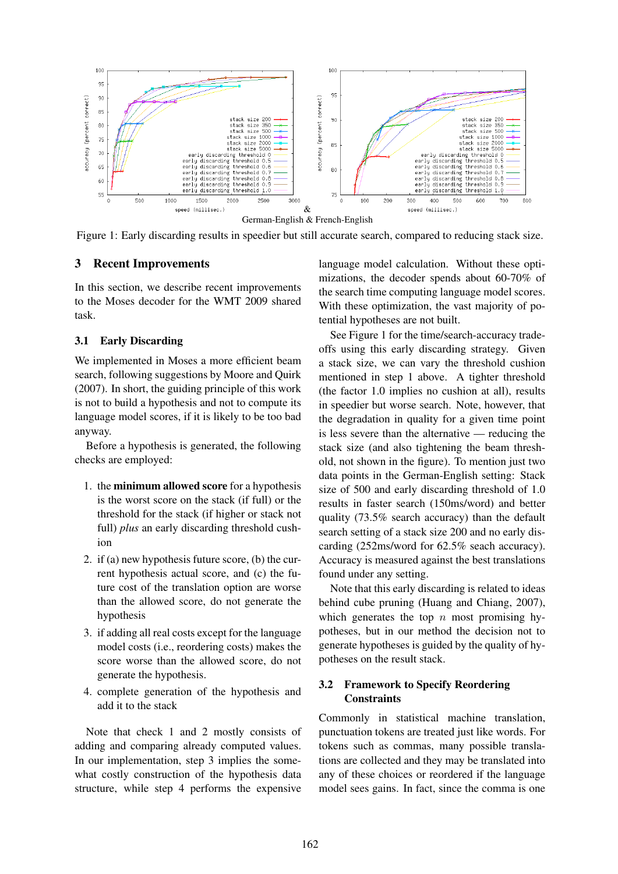

Figure 1: Early discarding results in speedier but still accurate search, compared to reducing stack size.

#### 3 Recent Improvements

In this section, we describe recent improvements to the Moses decoder for the WMT 2009 shared task.

### 3.1 Early Discarding

We implemented in Moses a more efficient beam search, following suggestions by Moore and Quirk (2007). In short, the guiding principle of this work is not to build a hypothesis and not to compute its language model scores, if it is likely to be too bad anyway.

Before a hypothesis is generated, the following checks are employed:

- 1. the minimum allowed score for a hypothesis is the worst score on the stack (if full) or the threshold for the stack (if higher or stack not full) *plus* an early discarding threshold cushion
- 2. if (a) new hypothesis future score, (b) the current hypothesis actual score, and (c) the future cost of the translation option are worse than the allowed score, do not generate the hypothesis
- 3. if adding all real costs except for the language model costs (i.e., reordering costs) makes the score worse than the allowed score, do not generate the hypothesis.
- 4. complete generation of the hypothesis and add it to the stack

Note that check 1 and 2 mostly consists of adding and comparing already computed values. In our implementation, step 3 implies the somewhat costly construction of the hypothesis data structure, while step 4 performs the expensive language model calculation. Without these optimizations, the decoder spends about 60-70% of the search time computing language model scores. With these optimization, the vast majority of potential hypotheses are not built.

See Figure 1 for the time/search-accuracy tradeoffs using this early discarding strategy. Given a stack size, we can vary the threshold cushion mentioned in step 1 above. A tighter threshold (the factor 1.0 implies no cushion at all), results in speedier but worse search. Note, however, that the degradation in quality for a given time point is less severe than the alternative — reducing the stack size (and also tightening the beam threshold, not shown in the figure). To mention just two data points in the German-English setting: Stack size of 500 and early discarding threshold of 1.0 results in faster search (150ms/word) and better quality (73.5% search accuracy) than the default search setting of a stack size 200 and no early discarding (252ms/word for 62.5% seach accuracy). Accuracy is measured against the best translations found under any setting.

Note that this early discarding is related to ideas behind cube pruning (Huang and Chiang, 2007), which generates the top  $n$  most promising hypotheses, but in our method the decision not to generate hypotheses is guided by the quality of hypotheses on the result stack.

### 3.2 Framework to Specify Reordering **Constraints**

Commonly in statistical machine translation, punctuation tokens are treated just like words. For tokens such as commas, many possible translations are collected and they may be translated into any of these choices or reordered if the language model sees gains. In fact, since the comma is one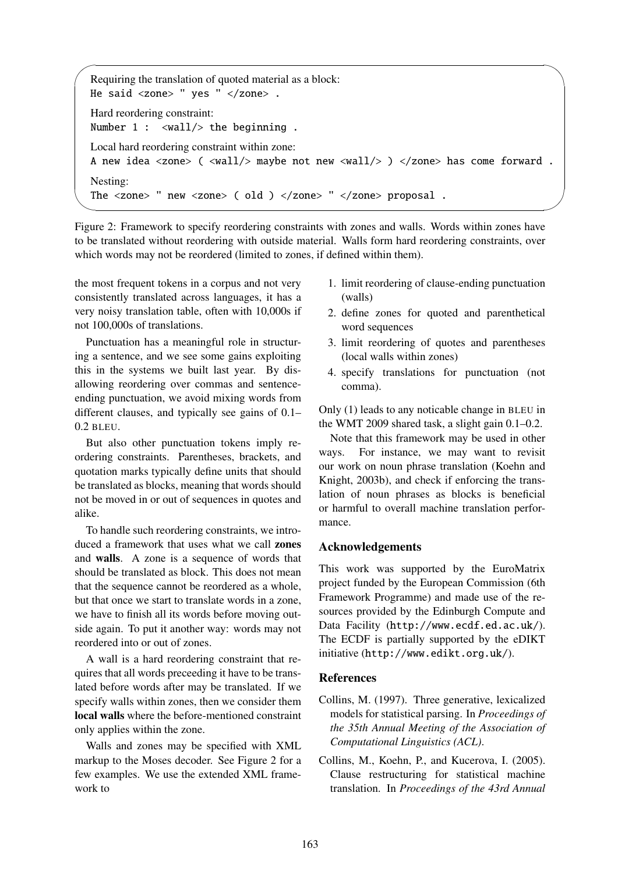```
✬
Requiring the translation of quoted material as a block:
He said <zone> " yes " </zone> .
Hard reordering constraint:
Number 1: <wall/> the beginning.
Local hard reordering constraint within zone:
A new idea <zone> ( <wall/> maybe not new <wall/> > > </zone> has come forward.
Nesting:
The <zone> " new <zone> ( old ) </zone> " </zone> proposal .
```
Figure 2: Framework to specify reordering constraints with zones and walls. Words within zones have to be translated without reordering with outside material. Walls form hard reordering constraints, over which words may not be reordered (limited to zones, if defined within them).

the most frequent tokens in a corpus and not very consistently translated across languages, it has a very noisy translation table, often with 10,000s if not 100,000s of translations.

✫

Punctuation has a meaningful role in structuring a sentence, and we see some gains exploiting this in the systems we built last year. By disallowing reordering over commas and sentenceending punctuation, we avoid mixing words from different clauses, and typically see gains of 0.1– 0.2 BLEU.

But also other punctuation tokens imply reordering constraints. Parentheses, brackets, and quotation marks typically define units that should be translated as blocks, meaning that words should not be moved in or out of sequences in quotes and alike.

To handle such reordering constraints, we introduced a framework that uses what we call zones and walls. A zone is a sequence of words that should be translated as block. This does not mean that the sequence cannot be reordered as a whole, but that once we start to translate words in a zone, we have to finish all its words before moving outside again. To put it another way: words may not reordered into or out of zones.

A wall is a hard reordering constraint that requires that all words preceeding it have to be translated before words after may be translated. If we specify walls within zones, then we consider them local walls where the before-mentioned constraint only applies within the zone.

Walls and zones may be specified with XML markup to the Moses decoder. See Figure 2 for a few examples. We use the extended XML framework to

- 1. limit reordering of clause-ending punctuation (walls)
- 2. define zones for quoted and parenthetical word sequences
- 3. limit reordering of quotes and parentheses (local walls within zones)
- 4. specify translations for punctuation (not comma).

Only (1) leads to any noticable change in BLEU in the WMT 2009 shared task, a slight gain 0.1–0.2.

Note that this framework may be used in other ways. For instance, we may want to revisit our work on noun phrase translation (Koehn and Knight, 2003b), and check if enforcing the translation of noun phrases as blocks is beneficial or harmful to overall machine translation performance.

## Acknowledgements

This work was supported by the EuroMatrix project funded by the European Commission (6th Framework Programme) and made use of the resources provided by the Edinburgh Compute and Data Facility (http://www.ecdf.ed.ac.uk/). The ECDF is partially supported by the eDIKT initiative (http://www.edikt.org.uk/).

#### References

- Collins, M. (1997). Three generative, lexicalized models for statistical parsing. In *Proceedings of the 35th Annual Meeting of the Association of Computational Linguistics (ACL)*.
- Collins, M., Koehn, P., and Kucerova, I. (2005). Clause restructuring for statistical machine translation. In *Proceedings of the 43rd Annual*